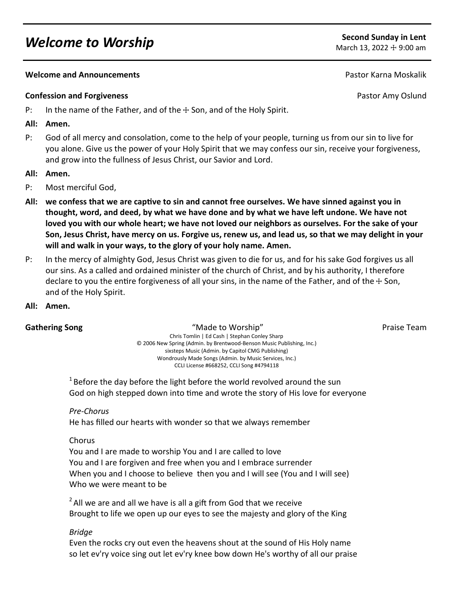# *Welcome to Worship* **Second Sunday in Lent**<br>March 13, 2022 + 9:00 am

#### **Welcome and Announcements** Pastor Karna Moskalik

#### **Confession and Forgiveness Pastor Amy Oslund Pastor Amy Oslund Pastor Amy Oslund**

- P: In the name of the Father, and of the  $\pm$  Son, and of the Holy Spirit.
- **All: Amen.**
- P: God of all mercy and consolation, come to the help of your people, turning us from our sin to live for you alone. Give us the power of your Holy Spirit that we may confess our sin, receive your forgiveness, and grow into the fullness of Jesus Christ, our Savior and Lord.
- **All: Amen.**
- P: Most merciful God,
- **All: we confess that we are captive to sin and cannot free ourselves. We have sinned against you in thought, word, and deed, by what we have done and by what we have left undone. We have not loved you with our whole heart; we have not loved our neighbors as ourselves. For the sake of your Son, Jesus Christ, have mercy on us. Forgive us, renew us, and lead us, so that we may delight in your will and walk in your ways, to the glory of your holy name. Amen.**
- P: In the mercy of almighty God, Jesus Christ was given to die for us, and for his sake God forgives us all our sins. As a called and ordained minister of the church of Christ, and by his authority, I therefore declare to you the entire forgiveness of all your sins, in the name of the Father, and of the  $+$  Son, and of the Holy Spirit.
- **All: Amen.**

**Gathering Song Team Team Team 2018 Constraining Song Team 2018 Team 2019 Team 2019 Team 2019 Team 2019 Team 201** Chris Tomlin | Ed Cash | Stephan Conley Sharp © 2006 New Spring (Admin. by Brentwood-Benson Music Publishing, Inc.) sixsteps Music (Admin. by Capitol CMG Publishing) Wondrously Made Songs (Admin. by Music Services, Inc.) CCLI License #668252, CCLI Song #4794118

> $1$  Before the day before the light before the world revolved around the sun God on high stepped down into time and wrote the story of His love for everyone

### *Pre-Chorus* He has filled our hearts with wonder so that we always remember

#### **Chorus**

You and I are made to worship You and I are called to love You and I are forgiven and free when you and I embrace surrender When you and I choose to believe then you and I will see (You and I will see) Who we were meant to be

 $2$  All we are and all we have is all a gift from God that we receive Brought to life we open up our eyes to see the majesty and glory of the King

### *Bridge*

Even the rocks cry out even the heavens shout at the sound of His Holy name so let ev'ry voice sing out let ev'ry knee bow down He's worthy of all our praise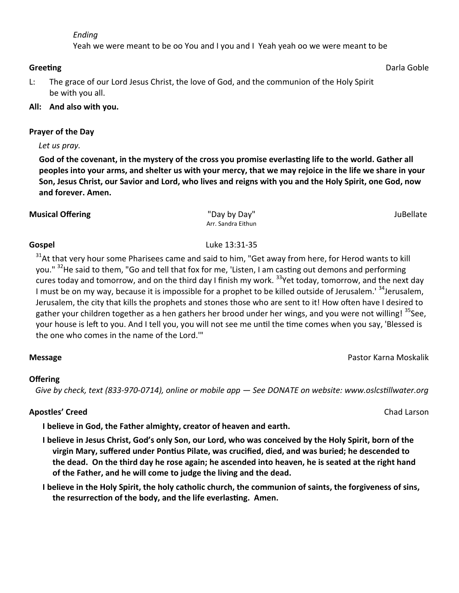*Ending*

Yeah we were meant to be oo You and I you and I Yeah yeah oo we were meant to be

**Greeting** Darla Goble

L: The grace of our Lord Jesus Christ, the love of God, and the communion of the Holy Spirit be with you all.

#### **All: And also with you.**

### **Prayer of the Day**

### *Let us pray.*

**God of the covenant, in the mystery of the cross you promise everlasting life to the world. Gather all peoples into your arms, and shelter us with your mercy, that we may rejoice in the life we share in your Son, Jesus Christ, our Savior and Lord, who lives and reigns with you and the Holy Spirit, one God, now and forever. Amen.**

## **Musical Offering** "Day by Day" JuBellate

Arr. Sandra Eithun

<sup>31</sup>At that very hour some Pharisees came and said to him, "Get away from here, for Herod wants to kill you." <sup>32</sup>He said to them, "Go and tell that fox for me, 'Listen, I am casting out demons and performing cures today and tomorrow, and on the third day I finish my work.  $33$ Yet today, tomorrow, and the next day I must be on my way, because it is impossible for a prophet to be killed outside of Jerusalem.<sup>134</sup>Jerusalem, Jerusalem, the city that kills the prophets and stones those who are sent to it! How often have I desired to gather your children together as a hen gathers her brood under her wings, and you were not willing! <sup>35</sup>See, your house is left to you. And I tell you, you will not see me until the time comes when you say, 'Blessed is the one who comes in the name of the Lord.'"

### **Message** Pastor Karna Moskalik and Pastor Karna Moskalik and Pastor Karna Moskalik and Pastor Karna Moskalik

### **Offering**

 *Give by check, text (833-970-0714), online or mobile app — See DONATE on website: www.oslcstillwater.org*

## **Apostles' Creed** Changer Changer Changer Changer Changer Changer Changer Changer Changer Changer Changer Changer Changer Changer Changer Changer Changer Changer Changer Changer Changer Changer Changer Changer Changer Chan

**I believe in God, the Father almighty, creator of heaven and earth.** 

- **I believe in Jesus Christ, God's only Son, our Lord, who was conceived by the Holy Spirit, born of the virgin Mary, suffered under Pontius Pilate, was crucified, died, and was buried; he descended to the dead. On the third day he rose again; he ascended into heaven, he is seated at the right hand of the Father, and he will come to judge the living and the dead.**
- **I believe in the Holy Spirit, the holy catholic church, the communion of saints, the forgiveness of sins, the resurrection of the body, and the life everlasting. Amen.**

## **Gospel** Luke 13:31-35